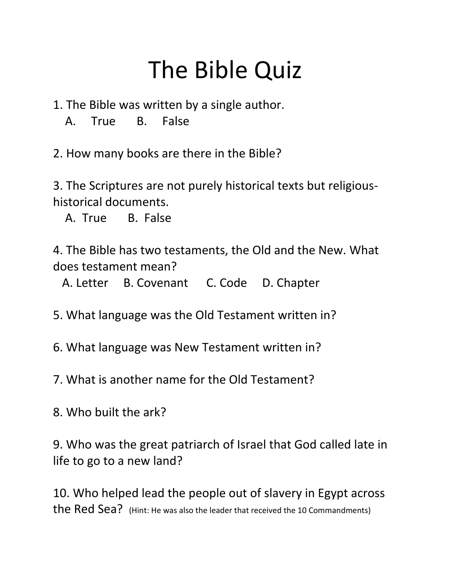## The Bible Quiz

- 1. The Bible was written by a single author.
	- A. True B. False

2. How many books are there in the Bible?

3. The Scriptures are not purely historical texts but religioushistorical documents.

A. True B. False

4. The Bible has two testaments, the Old and the New. What does testament mean?

A. Letter B. Covenant C. Code D. Chapter

5. What language was the Old Testament written in?

6. What language was New Testament written in?

7. What is another name for the Old Testament?

8. Who built the ark?

9. Who was the great patriarch of Israel that God called late in life to go to a new land?

10. Who helped lead the people out of slavery in Egypt across the Red Sea? (Hint: He was also the leader that received the 10 Commandments)